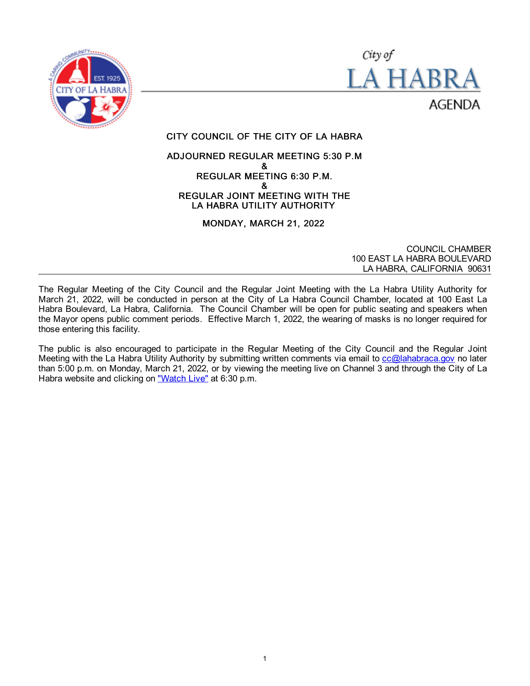



# CITY COUNCIL OF THE CITY OF LA HABRA

### ADJOURNED REGULAR MEETING 5:30 P.M & REGULAR MEETING 6:30 P.M. & REGULAR JOINT MEETING WITH THE LA HABRA UTILITY AUTHORITY

MONDAY, MARCH 21, 2022

COUNCIL CHAMBER 100 EAST LA HABRA BOULEVARD LA HABRA, CALIFORNIA 90631

The Regular Meeting of the City Council and the Regular Joint Meeting with the La Habra Utility Authority for March 21, 2022, will be conducted in person at the City of La Habra Council Chamber, located at 100 East La Habra Boulevard, La Habra, California. The Council Chamber will be open for public seating and speakers when the Mayor opens public comment periods. Effective March 1, 2022, the wearing of masks is no longer required for those entering this facility.

The public is also encouraged to participate in the Regular Meeting of the City Council and the Regular Joint Meeting with the La Habra Utility Authority by submitting written comments via email to [cc@lahabraca.gov](mailto:cc@lahabraca.gov) no later than 5:00 p.m. on Monday, March 21, 2022, or by viewing the meeting live on Channel 3 and through the City of La Habra website and clicking on ["Watch Live"](http://www.lahabraca.gov/356/Archived-Council-Videos) at 6:30 p.m.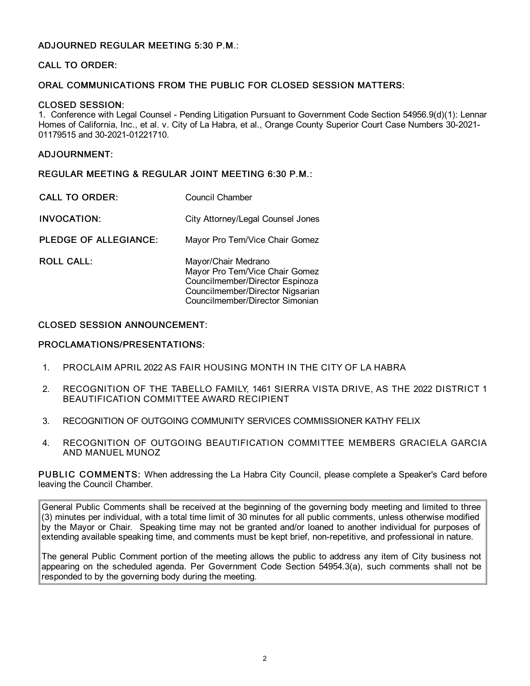### ADJOURNED REGULAR MEETING 5:30 P.M.:

### CALL TO ORDER:

### ORAL COMMUNICATIONS FROM THE PUBLIC FOR CLOSED SESSION MATTERS:

#### CLOSED SESSION:

1. Conference with Legal Counsel - Pending Litigation Pursuant to Government Code Section 54956.9(d)(1): Lennar Homes of California, Inc., et al. v. City of La Habra, et al., Orange County Superior Court Case Numbers 30-2021- 01179515 and 30-2021-01221710.

### ADJOURNMENT:

REGULAR MEETING & REGULAR JOINT MEETING 6:30 P.M.:

| <b>CALL TO ORDER:</b>        | Council Chamber                                                                                                                                                 |
|------------------------------|-----------------------------------------------------------------------------------------------------------------------------------------------------------------|
| <b>INVOCATION:</b>           | City Attorney/Legal Counsel Jones                                                                                                                               |
| <b>PLEDGE OF ALLEGIANCE:</b> | Mayor Pro Tem/Vice Chair Gomez                                                                                                                                  |
| <b>ROLL CALL:</b>            | Mayor/Chair Medrano<br>Mayor Pro Tem/Vice Chair Gomez<br>Councilmember/Director Espinoza<br>Councilmember/Director Nigsarian<br>Councilmember/Director Simonian |

### CLOSED SESSION ANNOUNCEMENT:

#### PROCLAMATIONS/PRESENTATIONS:

- 1. PROCLAIM APRIL 2022 AS FAIR HOUSING MONTH IN THE CITY OF LA HABRA
- 2. RECOGNITION OF THE TABELLO FAMILY, 1461 SIERRA VISTA DRIVE, AS THE 2022 DISTRICT 1 BEAUTIFICATION COMMITTEE AWARD RECIPIENT
- 3. RECOGNITION OF OUTGOING COMMUNITY SERVICES COMMISSIONER KATHY FELIX
- 4. RECOGNITION OF OUTGOING BEAUTIFICATION COMMITTEE MEMBERS GRACIELA GARCIA AND MANUEL MUNOZ

PUBLIC COMMENTS: When addressing the La Habra City Council, please complete a Speaker's Card before leaving the Council Chamber.

General Public Comments shall be received at the beginning of the governing body meeting and limited to three (3) minutes per individual, with a total time limit of 30 minutes for all public comments, unless otherwise modified by the Mayor or Chair. Speaking time may not be granted and/or loaned to another individual for purposes of extending available speaking time, and comments must be kept brief, non-repetitive, and professional in nature.

The general Public Comment portion of the meeting allows the public to address any item of City business not appearing on the scheduled agenda. Per Government Code Section 54954.3(a), such comments shall not be responded to by the governing body during the meeting.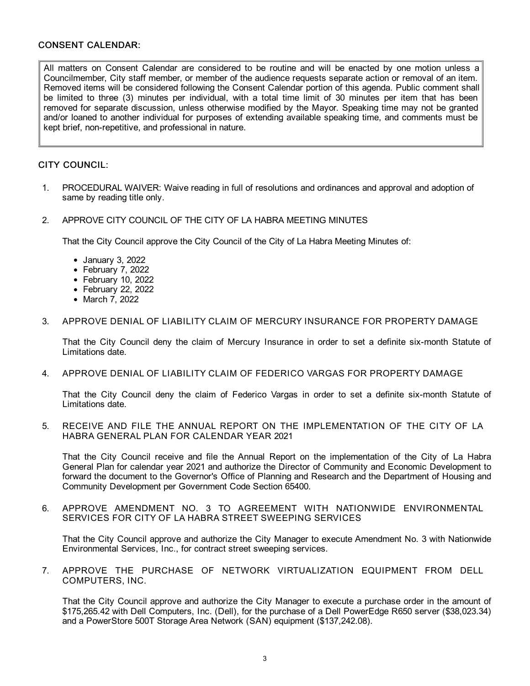### CONSENT CALENDAR:

All matters on Consent Calendar are considered to be routine and will be enacted by one motion unless a Councilmember, City staff member, or member of the audience requests separate action or removal of an item. Removed items will be considered following the Consent Calendar portion of this agenda. Public comment shall be limited to three (3) minutes per individual, with a total time limit of 30 minutes per item that has been removed for separate discussion, unless otherwise modified by the Mayor. Speaking time may not be granted and/or loaned to another individual for purposes of extending available speaking time, and comments must be kept brief, non-repetitive, and professional in nature.

# CITY COUNCIL:

- 1. PROCEDURAL WAIVER: Waive reading in full of resolutions and ordinances and approval and adoption of same by reading title only.
- 2. APPROVE CITY COUNCIL OF THE CITY OF LA HABRA MEETING MINUTES

That the City Council approve the City Council of the City of La Habra Meeting Minutes of:

- January 3, 2022
- February 7, 2022
- February 10, 2022
- February 22, 2022
- March 7, 2022

### 3. APPROVE DENIAL OF LIABILITY CLAIM OF MERCURY INSURANCE FOR PROPERTY DAMAGE

That the City Council deny the claim of Mercury Insurance in order to set a definite six-month Statute of Limitations date.

4. APPROVE DENIAL OF LIABILITY CLAIM OF FEDERICO VARGAS FOR PROPERTY DAMAGE

That the City Council deny the claim of Federico Vargas in order to set a definite six-month Statute of Limitations date.

#### 5. RECEIVE AND FILE THE ANNUAL REPORT ON THE IMPLEMENTATION OF THE CITY OF LA HABRA GENERAL PLAN FOR CALENDAR YEAR 2021

That the City Council receive and file the Annual Report on the implementation of the City of La Habra General Plan for calendar year 2021 and authorize the Director of Community and Economic Development to forward the document to the Governor's Office of Planning and Research and the Department of Housing and Community Development per Government Code Section 65400.

6. APPROVE AMENDMENT NO. 3 TO AGREEMENT WITH NATIONWIDE ENVIRONMENTAL SERVICES FOR CITY OF LA HABRA STREET SWEEPING SERVICES

That the City Council approve and authorize the City Manager to execute Amendment No. 3 with Nationwide Environmental Services, Inc., for contract street sweeping services.

7. APPROVE THE PURCHASE OF NETWORK VIRTUALIZATION EQUIPMENT FROM DELL COMPUTERS, INC.

That the City Council approve and authorize the City Manager to execute a purchase order in the amount of \$175,265.42 with Dell Computers, Inc. (Dell), for the purchase of a Dell PowerEdge R650 server (\$38,023.34) and a PowerStore 500T Storage Area Network (SAN) equipment (\$137,242.08).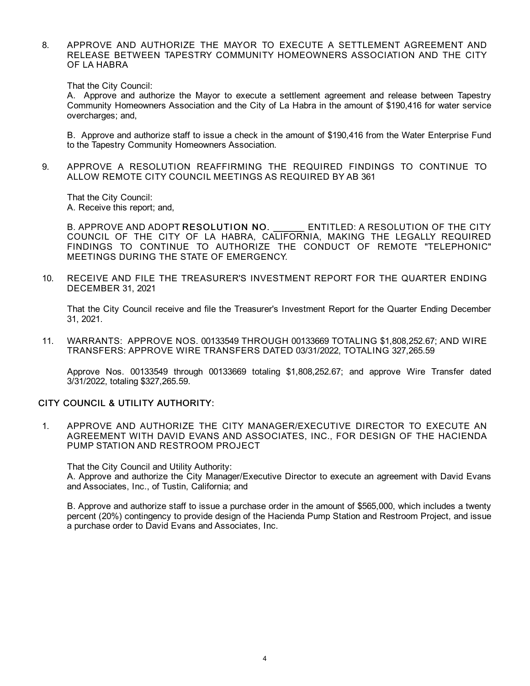8. APPROVE AND AUTHORIZE THE MAYOR TO EXECUTE A SETTLEMENT AGREEMENT AND RELEASE BETWEEN TAPESTRY COMMUNITY HOMEOWNERS ASSOCIATION AND THE CITY OF LA HABRA

That the City Council:

A. Approve and authorize the Mayor to execute a settlement agreement and release between Tapestry Community Homeowners Association and the City of La Habra in the amount of \$190,416 for water service overcharges; and,

B. Approve and authorize staff to issue a check in the amount of \$190,416 from the Water Enterprise Fund to the Tapestry Community Homeowners Association.

9. APPROVE A RESOLUTION REAFFIRMING THE REQUIRED FINDINGS TO CONTINUE TO ALLOW REMOTE CITY COUNCIL MEETINGS AS REQUIRED BY AB 361

That the City Council: A. Receive this report; and,

B. APPROVE AND ADOPT RESOLUTION NO. ENTITLED: A RESOLUTION OF THE CITY COUNCIL OF THE CITY OF LA HABRA, CALIFORNIA, MAKING THE LEGALLY REQUIRED FINDINGS TO CONTINUE TO AUTHORIZE THE CONDUCT OF REMOTE "TELEPHONIC" MEETINGS DURING THE STATE OF EMERGENCY.

10. RECEIVE AND FILE THE TREASURER'S INVESTMENT REPORT FOR THE QUARTER ENDING DECEMBER 31, 2021

That the City Council receive and file the Treasurer's Investment Report for the Quarter Ending December 31, 2021.

11. WARRANTS: APPROVE NOS. 00133549 THROUGH 00133669 TOTALING \$1,808,252.67; AND WIRE TRANSFERS: APPROVE WIRE TRANSFERS DATED 03/31/2022, TOTALING 327,265.59

Approve Nos. 00133549 through 00133669 totaling \$1,808,252.67; and approve Wire Transfer dated 3/31/2022, totaling \$327,265.59.

### CITY COUNCIL & UTILITY AUTHORITY:

1. APPROVE AND AUTHORIZE THE CITY MANAGER/EXECUTIVE DIRECTOR TO EXECUTE AN AGREEMENT WITH DAVID EVANS AND ASSOCIATES, INC., FOR DESIGN OF THE HACIENDA PUMP STATION AND RESTROOM PROJECT

That the City Council and Utility Authority:

A. Approve and authorize the City Manager/Executive Director to execute an agreement with David Evans and Associates, Inc., of Tustin, California; and

B. Approve and authorize staff to issue a purchase order in the amount of \$565,000, which includes a twenty percent (20%) contingency to provide design of the Hacienda Pump Station and Restroom Project, and issue a purchase order to David Evans and Associates, Inc.